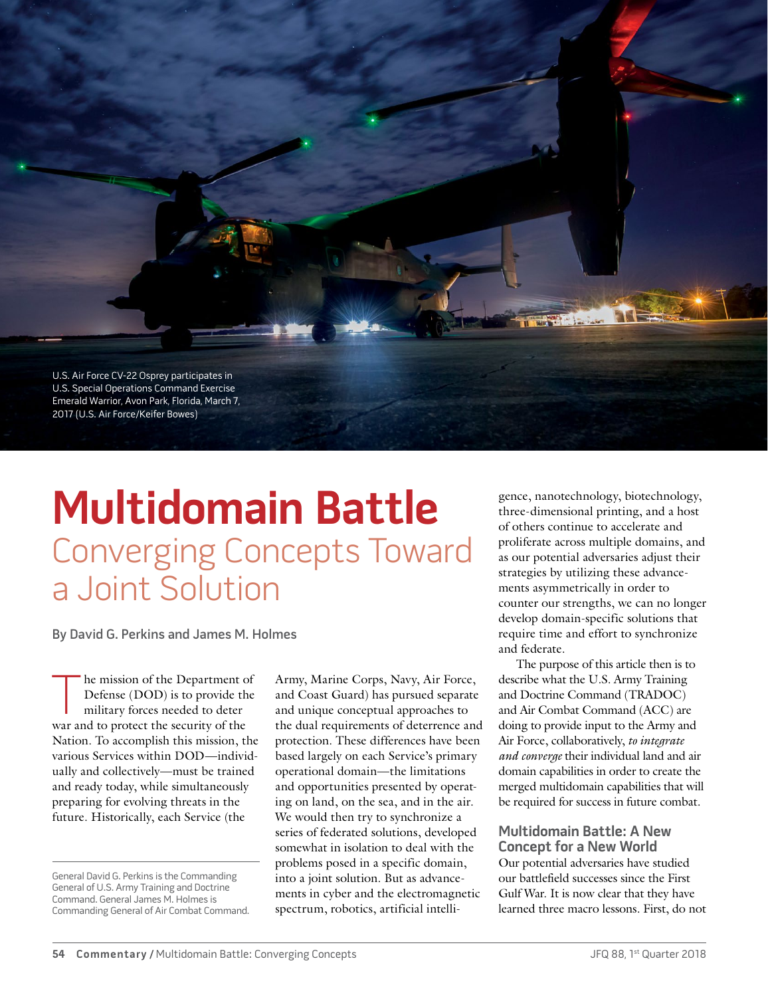

# **Multidomain Battle** Converging Concepts Toward a Joint Solution

By David G. Perkins and James M. Holmes

he mission of the Department of Defense (DOD) is to provide the military forces needed to deter war and to protect the security of the Nation. To accomplish this mission, the various Services within DOD—individually and collectively—must be trained and ready today, while simultaneously preparing for evolving threats in the future. Historically, each Service (the

Army, Marine Corps, Navy, Air Force, and Coast Guard) has pursued separate and unique conceptual approaches to the dual requirements of deterrence and protection. These differences have been based largely on each Service's primary operational domain—the limitations and opportunities presented by operating on land, on the sea, and in the air. We would then try to synchronize a series of federated solutions, developed somewhat in isolation to deal with the problems posed in a specific domain, into a joint solution. But as advancements in cyber and the electromagnetic spectrum, robotics, artificial intelligence, nanotechnology, biotechnology, three-dimensional printing, and a host of others continue to accelerate and proliferate across multiple domains, and as our potential adversaries adjust their strategies by utilizing these advancements asymmetrically in order to counter our strengths, we can no longer develop domain-specific solutions that require time and effort to synchronize and federate.

The purpose of this article then is to describe what the U.S. Army Training and Doctrine Command (TRADOC) and Air Combat Command (ACC) are doing to provide input to the Army and Air Force, collaboratively, *to integrate and converge* their individual land and air domain capabilities in order to create the merged multidomain capabilities that will be required for success in future combat.

#### **Multidomain Battle: A New Concept for a New World**

Our potential adversaries have studied our battlefield successes since the First Gulf War. It is now clear that they have learned three macro lessons. First, do not

General David G. Perkins is the Commanding General of U.S. Army Training and Doctrine Command. General James M. Holmes is Commanding General of Air Combat Command.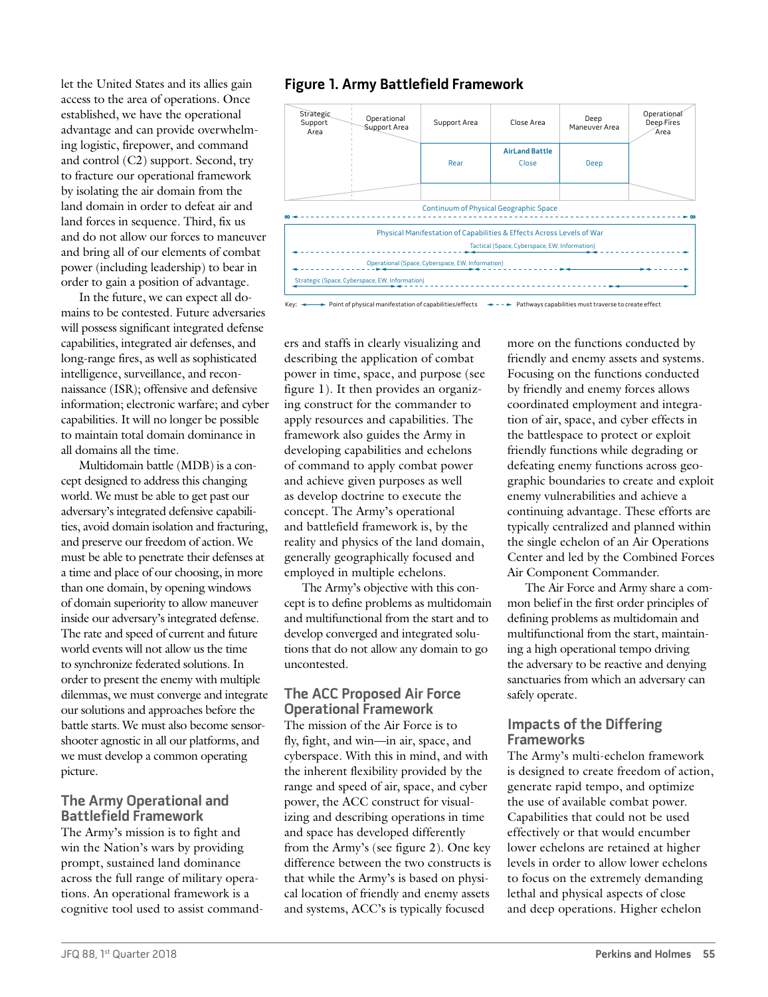let the United States and its allies gain access to the area of operations. Once established, we have the operational advantage and can provide overwhelming logistic, firepower, and command and control (C2) support. Second, try to fracture our operational framework by isolating the air domain from the land domain in order to defeat air and land forces in sequence. Third, fix us and do not allow our forces to maneuver and bring all of our elements of combat power (including leadership) to bear in order to gain a position of advantage.

In the future, we can expect all domains to be contested. Future adversaries will possess significant integrated defense capabilities, integrated air defenses, and long-range fires, as well as sophisticated intelligence, surveillance, and reconnaissance (ISR); offensive and defensive information; electronic warfare; and cyber capabilities. It will no longer be possible to maintain total domain dominance in all domains all the time.

Multidomain battle (MDB) is a concept designed to address this changing world. We must be able to get past our adversary's integrated defensive capabilities, avoid domain isolation and fracturing, and preserve our freedom of action. We must be able to penetrate their defenses at a time and place of our choosing, in more than one domain, by opening windows of domain superiority to allow maneuver inside our adversary's integrated defense. The rate and speed of current and future world events will not allow us the time to synchronize federated solutions. In order to present the enemy with multiple dilemmas, we must converge and integrate our solutions and approaches before the battle starts. We must also become sensorshooter agnostic in all our platforms, and we must develop a common operating picture.

## **The Army Operational and Battlefield Framework**

The Army's mission is to fight and win the Nation's wars by providing prompt, sustained land dominance across the full range of military operations. An operational framework is a cognitive tool used to assist command-

# **Figure 1. Army Battlefield Framework**



 $\rightarrow$  Point of physical manifestation of capabilities/effects  $\rightarrow$  -  $\rightarrow$  Pathways capabilities must traverse to create effect

ers and staffs in clearly visualizing and describing the application of combat power in time, space, and purpose (see figure 1). It then provides an organizing construct for the commander to apply resources and capabilities. The framework also guides the Army in developing capabilities and echelons of command to apply combat power and achieve given purposes as well as develop doctrine to execute the concept. The Army's operational and battlefield framework is, by the reality and physics of the land domain, generally geographically focused and employed in multiple echelons.

The Army's objective with this concept is to define problems as multidomain and multifunctional from the start and to develop converged and integrated solutions that do not allow any domain to go uncontested.

## **The ACC Proposed Air Force Operational Framework**

The mission of the Air Force is to fly, fight, and win—in air, space, and cyberspace. With this in mind, and with the inherent flexibility provided by the range and speed of air, space, and cyber power, the ACC construct for visualizing and describing operations in time and space has developed differently from the Army's (see figure 2). One key difference between the two constructs is that while the Army's is based on physical location of friendly and enemy assets and systems, ACC's is typically focused

more on the functions conducted by friendly and enemy assets and systems. Focusing on the functions conducted by friendly and enemy forces allows coordinated employment and integration of air, space, and cyber effects in the battlespace to protect or exploit friendly functions while degrading or defeating enemy functions across geographic boundaries to create and exploit enemy vulnerabilities and achieve a continuing advantage. These efforts are typically centralized and planned within the single echelon of an Air Operations Center and led by the Combined Forces Air Component Commander.

The Air Force and Army share a common belief in the first order principles of defining problems as multidomain and multifunctional from the start, maintaining a high operational tempo driving the adversary to be reactive and denying sanctuaries from which an adversary can safely operate.

## **Impacts of the Differing Frameworks**

The Army's multi-echelon framework is designed to create freedom of action, generate rapid tempo, and optimize the use of available combat power. Capabilities that could not be used effectively or that would encumber lower echelons are retained at higher levels in order to allow lower echelons to focus on the extremely demanding lethal and physical aspects of close and deep operations. Higher echelon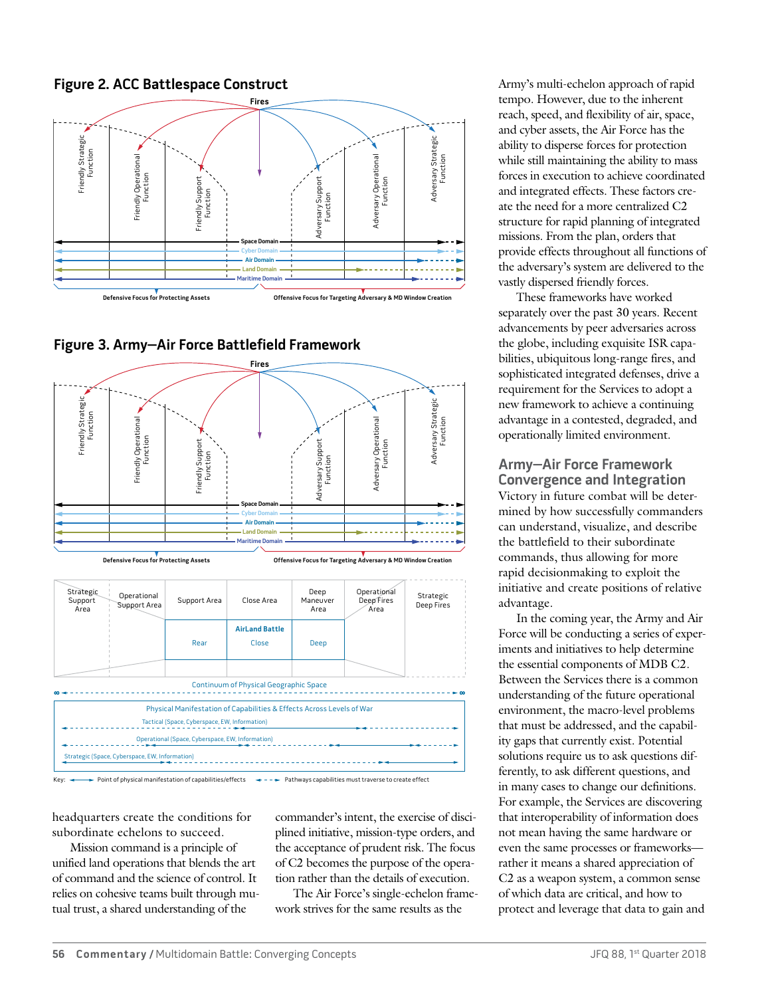**Figure 2. ACC Battlespace Construct**





**Figure 3. Army–Air Force Battlefield Framework**

headquarters create the conditions for subordinate echelons to succeed.

Mission command is a principle of unified land operations that blends the art of command and the science of control. It relies on cohesive teams built through mutual trust, a shared understanding of the

commander's intent, the exercise of disciplined initiative, mission-type orders, and the acceptance of prudent risk. The focus of C2 becomes the purpose of the operation rather than the details of execution.

The Air Force's single-echelon framework strives for the same results as the

Army's multi-echelon approach of rapid tempo. However, due to the inherent reach, speed, and flexibility of air, space, and cyber assets, the Air Force has the ability to disperse forces for protection while still maintaining the ability to mass forces in execution to achieve coordinated and integrated effects. These factors create the need for a more centralized C2 structure for rapid planning of integrated missions. From the plan, orders that provide effects throughout all functions of the adversary's system are delivered to the vastly dispersed friendly forces.

These frameworks have worked separately over the past 30 years. Recent advancements by peer adversaries across the globe, including exquisite ISR capabilities, ubiquitous long-range fires, and sophisticated integrated defenses, drive a requirement for the Services to adopt a new framework to achieve a continuing advantage in a contested, degraded, and operationally limited environment.

**Army–Air Force Framework Convergence and Integration** Victory in future combat will be determined by how successfully commanders can understand, visualize, and describe the battlefield to their subordinate commands, thus allowing for more rapid decisionmaking to exploit the initiative and create positions of relative advantage.

In the coming year, the Army and Air Force will be conducting a series of experiments and initiatives to help determine the essential components of MDB C2. Between the Services there is a common understanding of the future operational environment, the macro-level problems that must be addressed, and the capability gaps that currently exist. Potential solutions require us to ask questions differently, to ask different questions, and in many cases to change our definitions. For example, the Services are discovering that interoperability of information does not mean having the same hardware or even the same processes or frameworks rather it means a shared appreciation of C2 as a weapon system, a common sense of which data are critical, and how to protect and leverage that data to gain and

Area Rear Close Deep **AirLand Battle** Area Area Continuum of Physical Geographic Space Physical Manifestation of Capabilities & Effects Across Levels of War Tactical (Space, Cyberspace, EW, Information) Strategic (Space, Cyberspace, EW, Information) Operational (Space, Cyberspace, EW, Inform